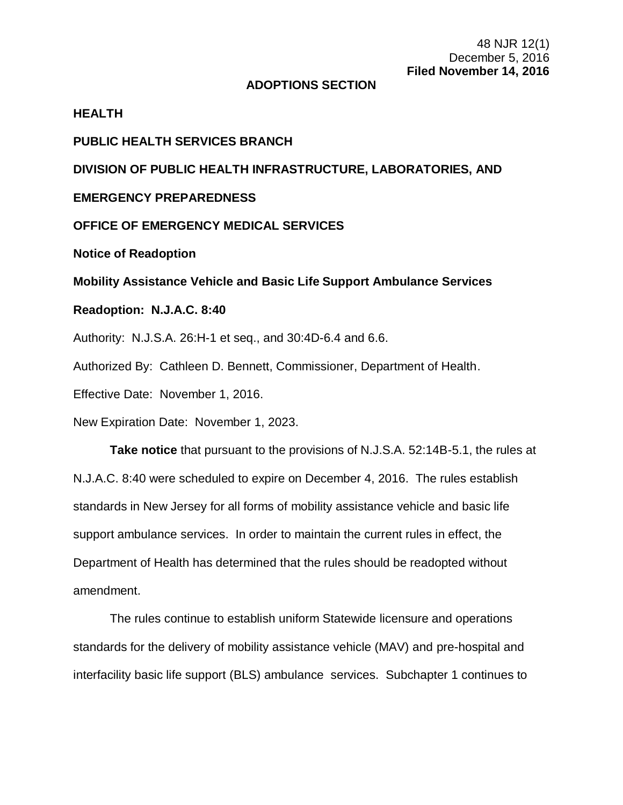#### **ADOPTIONS SECTION**

#### **HEALTH**

## **PUBLIC HEALTH SERVICES BRANCH**

## **DIVISION OF PUBLIC HEALTH INFRASTRUCTURE, LABORATORIES, AND**

# **EMERGENCY PREPAREDNESS**

#### **OFFICE OF EMERGENCY MEDICAL SERVICES**

**Notice of Readoption**

**Mobility Assistance Vehicle and Basic Life Support Ambulance Services**

## **Readoption: N.J.A.C. 8:40**

Authority: N.J.S.A. 26:H-1 et seq., and 30:4D-6.4 and 6.6.

Authorized By: Cathleen D. Bennett, Commissioner, Department of Health.

Effective Date: November 1, 2016.

New Expiration Date: November 1, 2023.

**Take notice** that pursuant to the provisions of N.J.S.A. 52:14B-5.1, the rules at N.J.A.C. 8:40 were scheduled to expire on December 4, 2016. The rules establish standards in New Jersey for all forms of mobility assistance vehicle and basic life support ambulance services. In order to maintain the current rules in effect, the Department of Health has determined that the rules should be readopted without amendment.

The rules continue to establish uniform Statewide licensure and operations standards for the delivery of mobility assistance vehicle (MAV) and pre-hospital and interfacility basic life support (BLS) ambulance services. Subchapter 1 continues to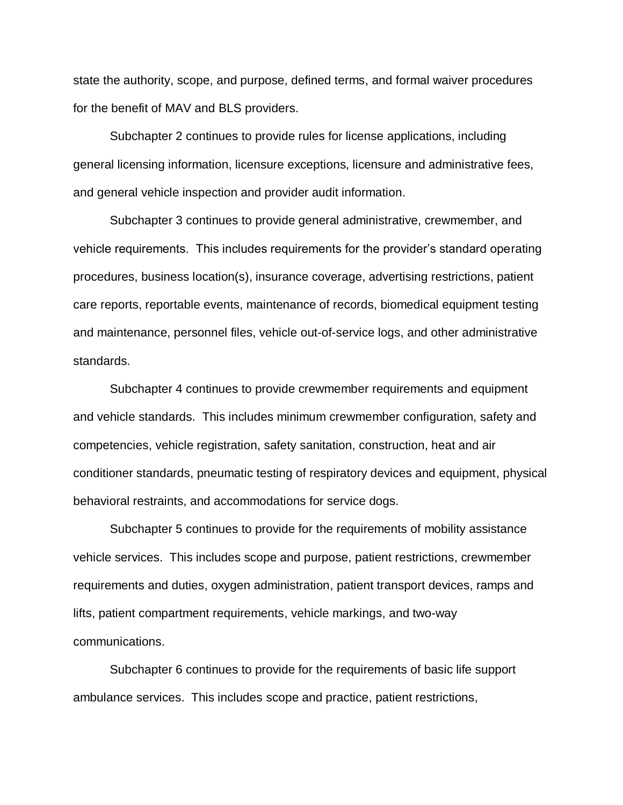state the authority, scope, and purpose, defined terms, and formal waiver procedures for the benefit of MAV and BLS providers.

Subchapter 2 continues to provide rules for license applications, including general licensing information, licensure exceptions, licensure and administrative fees, and general vehicle inspection and provider audit information.

Subchapter 3 continues to provide general administrative, crewmember, and vehicle requirements. This includes requirements for the provider's standard operating procedures, business location(s), insurance coverage, advertising restrictions, patient care reports, reportable events, maintenance of records, biomedical equipment testing and maintenance, personnel files, vehicle out-of-service logs, and other administrative standards.

Subchapter 4 continues to provide crewmember requirements and equipment and vehicle standards. This includes minimum crewmember configuration, safety and competencies, vehicle registration, safety sanitation, construction, heat and air conditioner standards, pneumatic testing of respiratory devices and equipment, physical behavioral restraints, and accommodations for service dogs.

Subchapter 5 continues to provide for the requirements of mobility assistance vehicle services. This includes scope and purpose, patient restrictions, crewmember requirements and duties, oxygen administration, patient transport devices, ramps and lifts, patient compartment requirements, vehicle markings, and two-way communications.

Subchapter 6 continues to provide for the requirements of basic life support ambulance services. This includes scope and practice, patient restrictions,